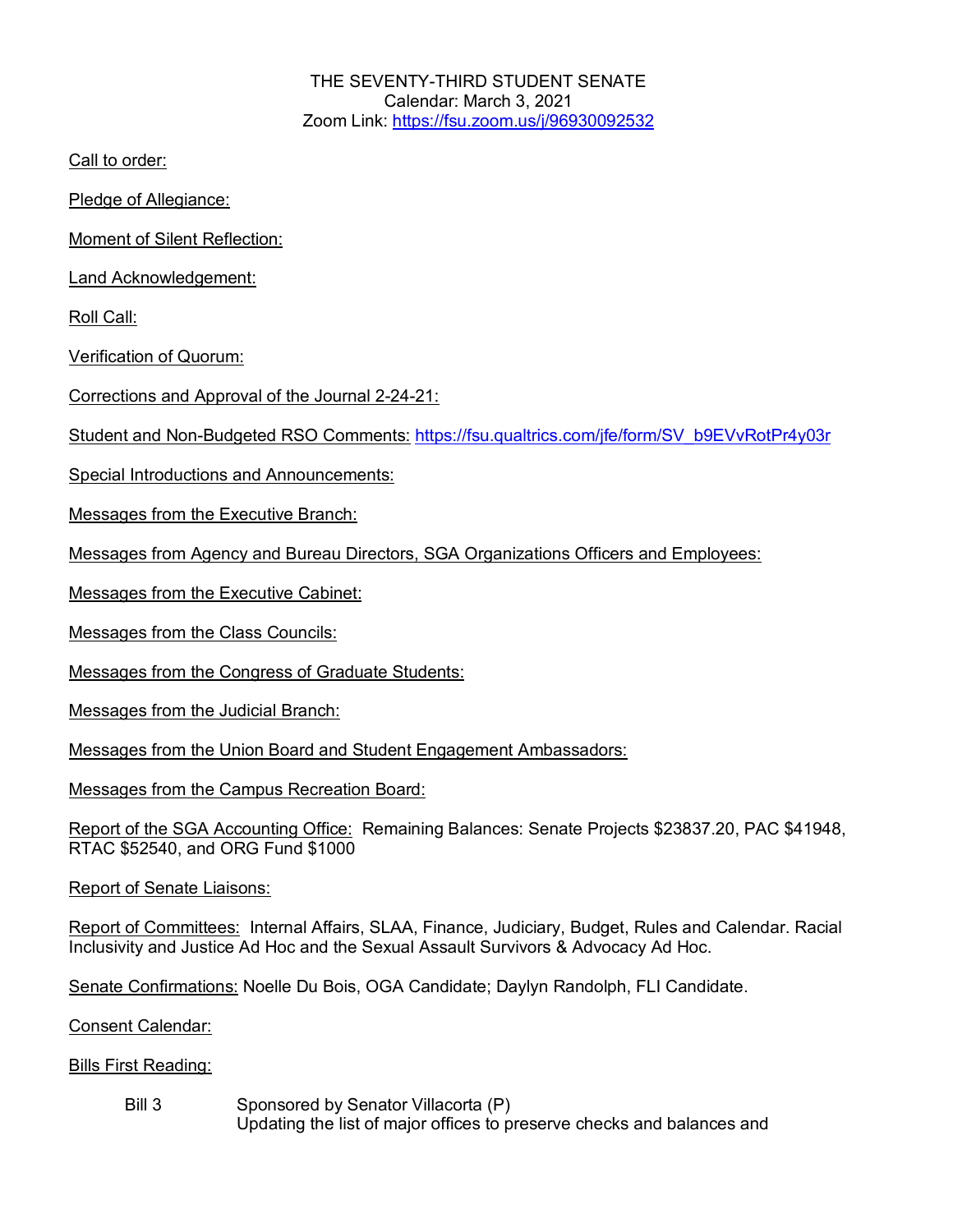THE SEVENTY-THIRD STUDENT SENATE Calendar: March 3, 2021 Zoom Link: https://fsu.zoom.us/j/96930092532

Call to order:

Pledge of Allegiance:

Moment of Silent Reflection:

Land Acknowledgement:

Roll Call:

Verification of Quorum:

Corrections and Approval of the Journal 2-24-21:

Student and Non-Budgeted RSO Comments: https://fsu.qualtrics.com/jfe/form/SV\_b9EVvRotPr4y03r

Special Introductions and Announcements:

Messages from the Executive Branch:

Messages from Agency and Bureau Directors, SGA Organizations Officers and Employees:

Messages from the Executive Cabinet:

Messages from the Class Councils:

Messages from the Congress of Graduate Students:

Messages from the Judicial Branch:

Messages from the Union Board and Student Engagement Ambassadors:

Messages from the Campus Recreation Board:

Report of the SGA Accounting Office: Remaining Balances: Senate Projects \$23837.20, PAC \$41948, RTAC \$52540, and ORG Fund \$1000

Report of Senate Liaisons:

Report of Committees: Internal Affairs, SLAA, Finance, Judiciary, Budget, Rules and Calendar. Racial Inclusivity and Justice Ad Hoc and the Sexual Assault Survivors & Advocacy Ad Hoc.

Senate Confirmations: Noelle Du Bois, OGA Candidate; Daylyn Randolph, FLI Candidate.

Consent Calendar:

Bills First Reading:

Bill 3 Sponsored by Senator Villacorta (P) Updating the list of major offices to preserve checks and balances and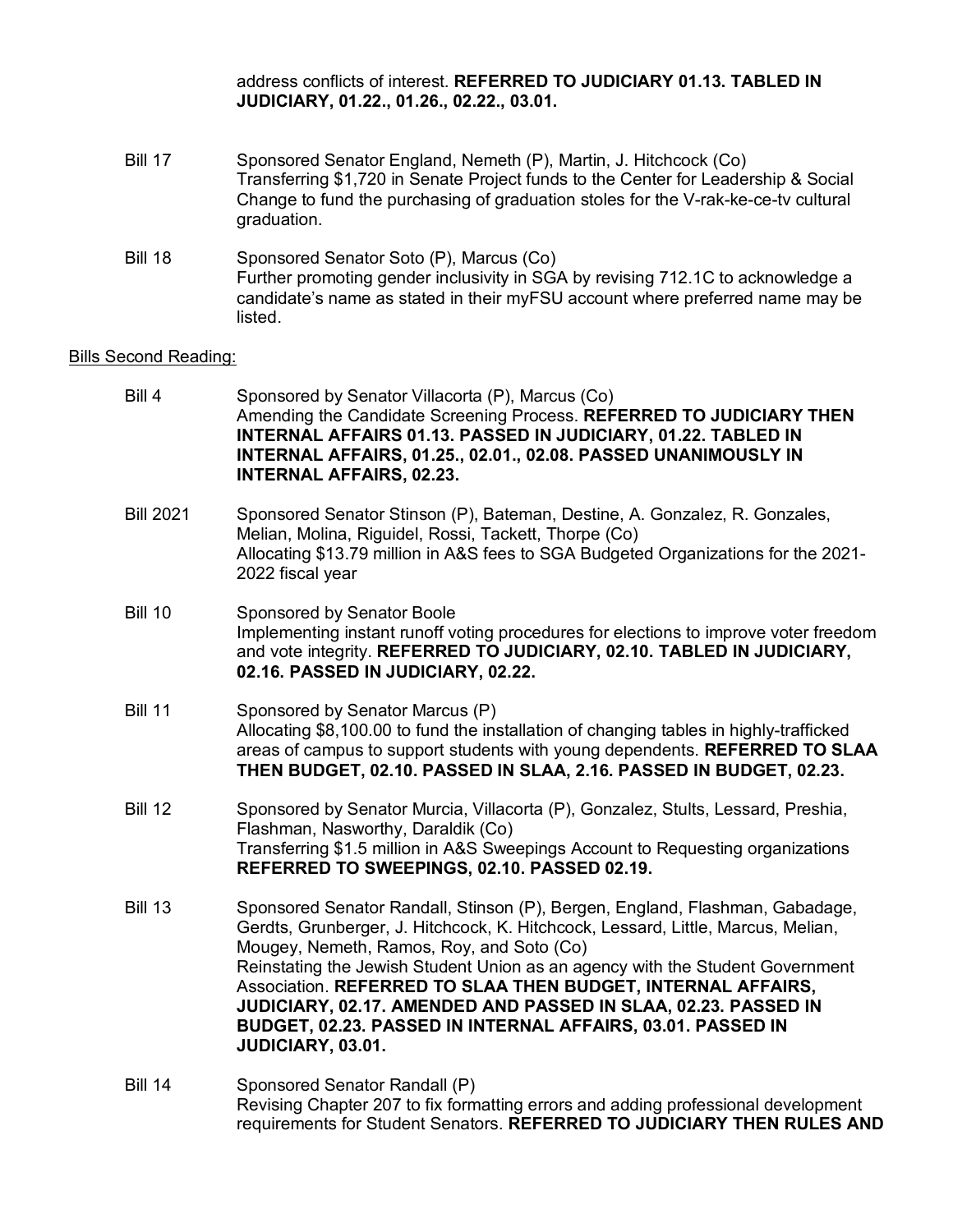address conflicts of interest. **REFERRED TO JUDICIARY 01.13. TABLED IN JUDICIARY, 01.22., 01.26., 02.22., 03.01.**

- Bill 17 Sponsored Senator England, Nemeth (P), Martin, J. Hitchcock (Co) Transferring \$1,720 in Senate Project funds to the Center for Leadership & Social Change to fund the purchasing of graduation stoles for the V-rak-ke-ce-tv cultural graduation.
- Bill 18 Sponsored Senator Soto (P), Marcus (Co) Further promoting gender inclusivity in SGA by revising 712.1C to acknowledge a candidate's name as stated in their myFSU account where preferred name may be listed.

## Bills Second Reading:

- Bill 4 Sponsored by Senator Villacorta (P), Marcus (Co) Amending the Candidate Screening Process. **REFERRED TO JUDICIARY THEN INTERNAL AFFAIRS 01.13. PASSED IN JUDICIARY, 01.22. TABLED IN INTERNAL AFFAIRS, 01.25., 02.01., 02.08. PASSED UNANIMOUSLY IN INTERNAL AFFAIRS, 02.23.**
- Bill 2021 Sponsored Senator Stinson (P), Bateman, Destine, A. Gonzalez, R. Gonzales, Melian, Molina, Riguidel, Rossi, Tackett, Thorpe (Co) Allocating \$13.79 million in A&S fees to SGA Budgeted Organizations for the 2021- 2022 fiscal year
- Bill 10 Sponsored by Senator Boole Implementing instant runoff voting procedures for elections to improve voter freedom and vote integrity. **REFERRED TO JUDICIARY, 02.10. TABLED IN JUDICIARY, 02.16. PASSED IN JUDICIARY, 02.22.**
- Bill 11 Sponsored by Senator Marcus (P) Allocating \$8,100.00 to fund the installation of changing tables in highly-trafficked areas of campus to support students with young dependents. **REFERRED TO SLAA THEN BUDGET, 02.10. PASSED IN SLAA, 2.16. PASSED IN BUDGET, 02.23.**
- Bill 12 Sponsored by Senator Murcia, Villacorta (P), Gonzalez, Stults, Lessard, Preshia, Flashman, Nasworthy, Daraldik (Co) Transferring \$1.5 million in A&S Sweepings Account to Requesting organizations **REFERRED TO SWEEPINGS, 02.10. PASSED 02.19.**
- Bill 13 Sponsored Senator Randall, Stinson (P), Bergen, England, Flashman, Gabadage, Gerdts, Grunberger, J. Hitchcock, K. Hitchcock, Lessard, Little, Marcus, Melian, Mougey, Nemeth, Ramos, Roy, and Soto (Co) Reinstating the Jewish Student Union as an agency with the Student Government Association. **REFERRED TO SLAA THEN BUDGET, INTERNAL AFFAIRS, JUDICIARY, 02.17. AMENDED AND PASSED IN SLAA, 02.23. PASSED IN BUDGET, 02.23. PASSED IN INTERNAL AFFAIRS, 03.01. PASSED IN JUDICIARY, 03.01.**
- Bill 14 Sponsored Senator Randall (P) Revising Chapter 207 to fix formatting errors and adding professional development requirements for Student Senators. **REFERRED TO JUDICIARY THEN RULES AND**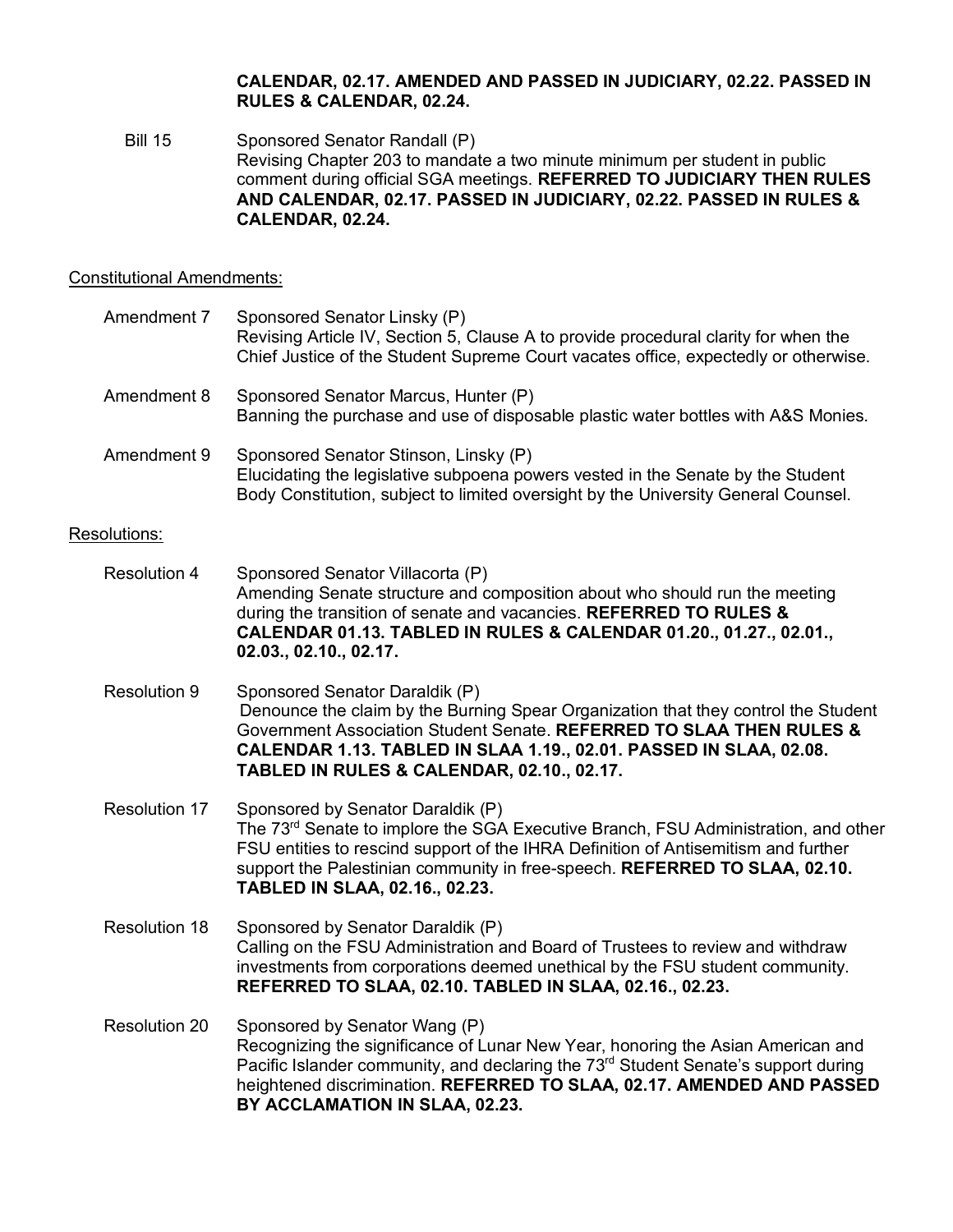## **CALENDAR, 02.17. AMENDED AND PASSED IN JUDICIARY, 02.22. PASSED IN RULES & CALENDAR, 02.24.**

Bill 15 Sponsored Senator Randall (P) Revising Chapter 203 to mandate a two minute minimum per student in public comment during official SGA meetings. **REFERRED TO JUDICIARY THEN RULES AND CALENDAR, 02.17. PASSED IN JUDICIARY, 02.22. PASSED IN RULES & CALENDAR, 02.24.**

## Constitutional Amendments:

| Amendment 7          | Sponsored Senator Linsky (P)<br>Revising Article IV, Section 5, Clause A to provide procedural clarity for when the<br>Chief Justice of the Student Supreme Court vacates office, expectedly or otherwise.                                                                                                       |
|----------------------|------------------------------------------------------------------------------------------------------------------------------------------------------------------------------------------------------------------------------------------------------------------------------------------------------------------|
| Amendment 8          | Sponsored Senator Marcus, Hunter (P)<br>Banning the purchase and use of disposable plastic water bottles with A&S Monies.                                                                                                                                                                                        |
| Amendment 9          | Sponsored Senator Stinson, Linsky (P)<br>Elucidating the legislative subpoena powers vested in the Senate by the Student<br>Body Constitution, subject to limited oversight by the University General Counsel.                                                                                                   |
| Resolutions:         |                                                                                                                                                                                                                                                                                                                  |
| <b>Resolution 4</b>  | Sponsored Senator Villacorta (P)<br>Amending Senate structure and composition about who should run the meeting<br>during the transition of senate and vacancies. REFERRED TO RULES &<br>CALENDAR 01.13. TABLED IN RULES & CALENDAR 01.20., 01.27., 02.01.,<br>02.03., 02.10., 02.17.                             |
| <b>Resolution 9</b>  | Sponsored Senator Daraldik (P)<br>Denounce the claim by the Burning Spear Organization that they control the Student<br>Government Association Student Senate, REFERRED TO SLAA THEN RULES &<br>CALENDAR 1.13. TABLED IN SLAA 1.19., 02.01. PASSED IN SLAA, 02.08.<br>TABLED IN RULES & CALENDAR, 02.10., 02.17. |
| <b>Resolution 17</b> | Sponsored by Senator Daraldik (P)<br>$T_{\text{tot}}$ 7000 Central to incolang the COA Free subject Duringle FOILA distinctional and other                                                                                                                                                                       |

- The 73<sup>rd</sup> Senate to implore the SGA Executive Branch, FSU Administration, and other FSU entities to rescind support of the IHRA Definition of Antisemitism and further support the Palestinian community in free-speech. **REFERRED TO SLAA, 02.10. TABLED IN SLAA, 02.16., 02.23.**
- Resolution 18 Sponsored by Senator Daraldik (P) Calling on the FSU Administration and Board of Trustees to review and withdraw investments from corporations deemed unethical by the FSU student community. **REFERRED TO SLAA, 02.10. TABLED IN SLAA, 02.16., 02.23.**
- Resolution 20 Sponsored by Senator Wang (P) Recognizing the significance of Lunar New Year, honoring the Asian American and Pacific Islander community, and declaring the 73<sup>rd</sup> Student Senate's support during heightened discrimination. **REFERRED TO SLAA, 02.17. AMENDED AND PASSED BY ACCLAMATION IN SLAA, 02.23.**